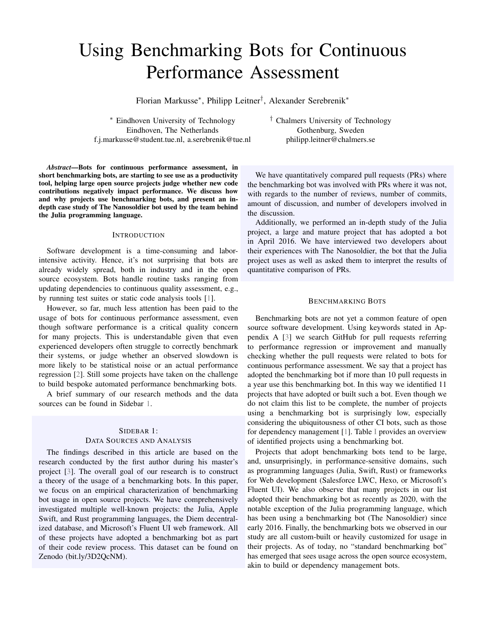# <span id="page-0-1"></span>Using Benchmarking Bots for Continuous Performance Assessment

Florian Markusse<sup>∗</sup> , Philipp Leitner† , Alexander Serebrenik<sup>∗</sup>

<sup>∗</sup> Eindhoven University of Technology Eindhoven, The Netherlands f.j.markusse@student.tue.nl, a.serebrenik@tue.nl † Chalmers University of Technology Gothenburg, Sweden philipp.leitner@chalmers.se

*Abstract*—Bots for continuous performance assessment, in short benchmarking bots, are starting to see use as a productivity tool, helping large open source projects judge whether new code contributions negatively impact performance. We discuss how and why projects use benchmarking bots, and present an indepth case study of The Nanosoldier bot used by the team behind the Julia programming language.

## **INTRODUCTION**

Software development is a time-consuming and laborintensive activity. Hence, it's not surprising that bots are already widely spread, both in industry and in the open source ecosystem. Bots handle routine tasks ranging from updating dependencies to continuous quality assessment, e.g., by running test suites or static code analysis tools [\[1\]](#page-3-0).

However, so far, much less attention has been paid to the usage of bots for continuous performance assessment, even though software performance is a critical quality concern for many projects. This is understandable given that even experienced developers often struggle to correctly benchmark their systems, or judge whether an observed slowdown is more likely to be statistical noise or an actual performance regression [\[2\]](#page-3-1). Still some projects have taken on the challenge to build bespoke automated performance benchmarking bots.

A brief summary of our research methods and the data sources can be found in Sidebar [1.](#page-0-0)

# <span id="page-0-0"></span>SIDEBAR 1: DATA SOURCES AND ANALYSIS

The findings described in this article are based on the research conducted by the first author during his master's project [\[3\]](#page-3-2). The overall goal of our research is to construct a theory of the usage of a benchmarking bots. In this paper, we focus on an empirical characterization of benchmarking bot usage in open source projects. We have comprehensively investigated multiple well-known projects: the Julia, Apple Swift, and Rust programming languages, the Diem decentralized database, and Microsoft's Fluent UI web framework. All of these projects have adopted a benchmarking bot as part of their code review process. This dataset can be found on Zenodo (bit.ly/3D2QcNM).

We have quantitatively compared pull requests (PRs) where the benchmarking bot was involved with PRs where it was not, with regards to the number of reviews, number of commits, amount of discussion, and number of developers involved in the discussion.

Additionally, we performed an in-depth study of the Julia project, a large and mature project that has adopted a bot in April 2016. We have interviewed two developers about their experiences with The Nanosoldier, the bot that the Julia project uses as well as asked them to interpret the results of quantitative comparison of PRs.

### BENCHMARKING BOTS

Benchmarking bots are not yet a common feature of open source software development. Using keywords stated in Appendix A [\[3\]](#page-3-2) we search GitHub for pull requests referring to performance regression or improvement and manually checking whether the pull requests were related to bots for continuous performance assessment. We say that a project has adopted the benchmarking bot if more than 10 pull requests in a year use this benchmarking bot. In this way we identified 11 projects that have adopted or built such a bot. Even though we do not claim this list to be complete, the number of projects using a benchmarking bot is surprisingly low, especially considering the ubiquitousness of other CI bots, such as those for dependency management [\[1\]](#page-3-0). Table [I](#page-1-0) provides an overview of identified projects using a benchmarking bot.

Projects that adopt benchmarking bots tend to be large, and, unsurprisingly, in performance-sensitive domains, such as programming languages (Julia, Swift, Rust) or frameworks for Web development (Salesforce LWC, Hexo, or Microsoft's Fluent UI). We also observe that many projects in our list adopted their benchmarking bot as recently as 2020, with the notable exception of the Julia programming language, which has been using a benchmarking bot (The Nanosoldier) since early 2016. Finally, the benchmarking bots we observed in our study are all custom-built or heavily customized for usage in their projects. As of today, no "standard benchmarking bot" has emerged that sees usage across the open source ecosystem, akin to build or dependency management bots.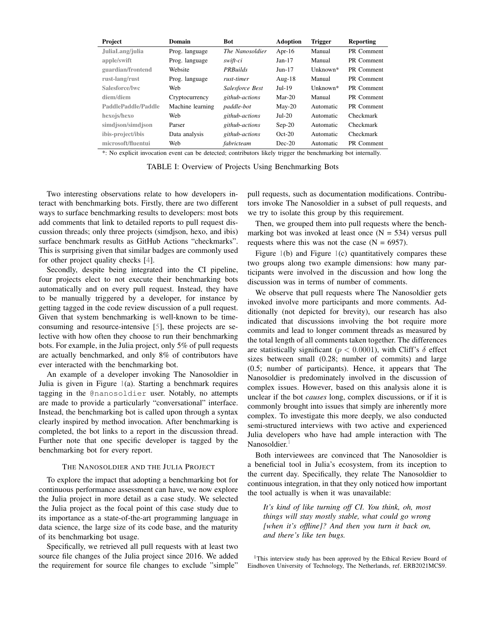<span id="page-1-2"></span><span id="page-1-0"></span>

| Project             | Domain           | <b>Bot</b>        | <b>Adoption</b> | <b>Trigger</b> | Reporting  |
|---------------------|------------------|-------------------|-----------------|----------------|------------|
| JuliaLang/julia     | Prog. language   | The Nanosoldier   | Apr-16          | Manual         | PR Comment |
| apple/swift         | Prog. language   | swift-ci          | $Jan-17$        | Manual         | PR Comment |
| guardian/frontend   | Website          | <b>PRBuilds</b>   | $Jun-17$        | $IInknown*$    | PR Comment |
| rust-lang/rust      | Prog. language   | rust-timer        | Aug- $18$       | Manual         | PR Comment |
| Salesforce/lwc      | Web              | Salesforce Best   | $Jul-19$        | $IInknown*$    | PR Comment |
| diem/diem           | Cryptocurrency   | github-actions    | $Mar-20$        | Manual         | PR Comment |
| PaddlePaddle/Paddle | Machine learning | <i>paddle-bot</i> | $Mav-20$        | Automatic      | PR Comment |
| hexojs/hexo         | Web              | github-actions    | $Jul-20$        | Automatic      | Checkmark  |
| simdjson/simdjson   | Parser           | github-actions    | $Sep-20$        | Automatic      | Checkmark  |
| ibis-project/ibis   | Data analysis    | github-actions    | $Oct-20$        | Automatic      | Checkmark  |
| microsoft/fluentui  | Web              | fabricteam        | $Dec-20$        | Automatic      | PR Comment |

\*: No explicit invocation event can be detected; contributors likely trigger the benchmarking bot internally.

TABLE I: Overview of Projects Using Benchmarking Bots

Two interesting observations relate to how developers interact with benchmarking bots. Firstly, there are two different ways to surface benchmarking results to developers: most bots add comments that link to detailed reports to pull request discussion threads; only three projects (simdjson, hexo, and ibis) surface benchmark results as GitHub Actions "checkmarks". This is surprising given that similar badges are commonly used for other project quality checks [\[4\]](#page-3-3).

Secondly, despite being integrated into the CI pipeline, four projects elect to not execute their benchmarking bots automatically and on every pull request. Instead, they have to be manually triggered by a developer, for instance by getting tagged in the code review discussion of a pull request. Given that system benchmarking is well-known to be timeconsuming and resource-intensive [\[5\]](#page-3-4), these projects are selective with how often they choose to run their benchmarking bots. For example, in the Julia project, only 5% of pull requests are actually benchmarked, and only 8% of contributors have ever interacted with the benchmarking bot.

An example of a developer invoking The Nanosoldier in Julia is given in Figure [1\(](#page-2-0)a). Starting a benchmark requires tagging in the @nanosoldier user. Notably, no attempts are made to provide a particularly "conversational" interface. Instead, the benchmarking bot is called upon through a syntax clearly inspired by method invocation. After benchmarking is completed, the bot links to a report in the discussion thread. Further note that one specific developer is tagged by the benchmarking bot for every report.

## THE NANOSOLDIER AND THE JULIA PROJECT

To explore the impact that adopting a benchmarking bot for continuous performance assessment can have, we now explore the Julia project in more detail as a case study. We selected the Julia project as the focal point of this case study due to its importance as a state-of-the-art programming language in data science, the large size of its code base, and the maturity of its benchmarking bot usage.

Specifically, we retrieved all pull requests with at least two source file changes of the Julia project since 2016. We added the requirement for source file changes to exclude "simple" pull requests, such as documentation modifications. Contributors invoke The Nanosoldier in a subset of pull requests, and we try to isolate this group by this requirement.

Then, we grouped them into pull requests where the benchmarking bot was invoked at least once  $(N = 534)$  versus pull requests where this was not the case  $(N = 6957)$ .

Figure  $1(b)$  $1(b)$  and Figure  $1(c)$  quantitatively compares these two groups along two example dimensions: how many participants were involved in the discussion and how long the discussion was in terms of number of comments.

We observe that pull requests where The Nanosoldier gets invoked involve more participants and more comments. Additionally (not depicted for brevity), our research has also indicated that discussions involving the bot require more commits and lead to longer comment threads as measured by the total length of all comments taken together. The differences are statistically significant ( $p < 0.0001$ ), with Cliff's  $\delta$  effect sizes between small (0.28; number of commits) and large (0.5; number of participants). Hence, it appears that The Nanosoldier is predominately involved in the discussion of complex issues. However, based on this analysis alone it is unclear if the bot *causes* long, complex discussions, or if it is commonly brought into issues that simply are inherently more complex. To investigate this more deeply, we also conducted semi-structured interviews with two active and experienced Julia developers who have had ample interaction with The Nanosoldier.<sup>[1](#page-1-1)</sup>

Both interviewees are convinced that The Nanosoldier is a beneficial tool in Julia's ecosystem, from its inception to the current day. Specifically, they relate The Nanosoldier to continuous integration, in that they only noticed how important the tool actually is when it was unavailable:

*It's kind of like turning off CI. You think, oh, most things will stay mostly stable, what could go wrong [when it's offline]? And then you turn it back on, and there's like ten bugs.*

<span id="page-1-1"></span><sup>1</sup>This interview study has been approved by the Ethical Review Board of Eindhoven University of Technology, The Netherlands, ref. ERB2021MCS9.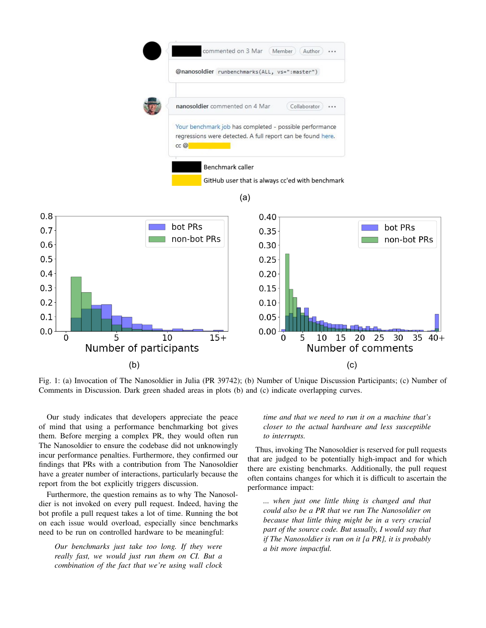<span id="page-2-0"></span>

Fig. 1: (a) Invocation of The Nanosoldier in Julia (PR 39742); (b) Number of Unique Discussion Participants; (c) Number of Comments in Discussion. Dark green shaded areas in plots (b) and (c) indicate overlapping curves.

Our study indicates that developers appreciate the peace of mind that using a performance benchmarking bot gives them. Before merging a complex PR, they would often run The Nanosoldier to ensure the codebase did not unknowingly incur performance penalties. Furthermore, they confirmed our findings that PRs with a contribution from The Nanosoldier have a greater number of interactions, particularly because the report from the bot explicitly triggers discussion.

Furthermore, the question remains as to why The Nanosoldier is not invoked on every pull request. Indeed, having the bot profile a pull request takes a lot of time. Running the bot on each issue would overload, especially since benchmarks need to be run on controlled hardware to be meaningful:

*Our benchmarks just take too long. If they were really fast, we would just run them on CI. But a combination of the fact that we're using wall clock*

# *time and that we need to run it on a machine that's closer to the actual hardware and less susceptible to interrupts.*

Thus, invoking The Nanosoldier is reserved for pull requests that are judged to be potentially high-impact and for which there are existing benchmarks. Additionally, the pull request often contains changes for which it is difficult to ascertain the performance impact:

*... when just one little thing is changed and that could also be a PR that we run The Nanosoldier on because that little thing might be in a very crucial part of the source code. But usually, I would say that if The Nanosoldier is run on it [a PR], it is probably a bit more impactful.*